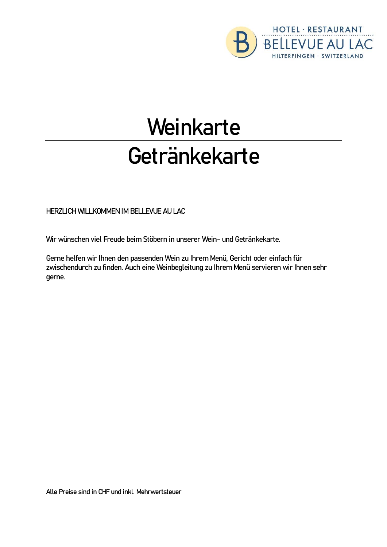

# **Weinkarte** Getränkekarte

**HERZLICH WILLKOMMEN IM BELLEVUE AU LAC**

Wir wünschen viel Freude beim Stöbern in unserer Wein- und Getränkekarte.

Gerne helfen wir Ihnen den passenden Wein zu Ihrem Menü, Gericht oder einfach für zwischendurch zu finden. Auch eine Weinbegleitung zu Ihrem Menü servieren wir Ihnen sehr gerne.

Alle Preise sind in CHF und inkl. Mehrwertsteuer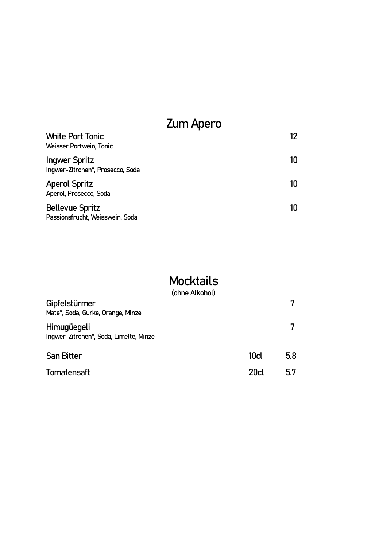### Zum Apero

| <b>White Port Tonic</b><br><b>Weisser Portwein, Tonic</b> | 12 |  |
|-----------------------------------------------------------|----|--|
| Ingwer Spritz<br>Ingwer-Zitronen*, Prosecco, Soda         | 10 |  |
| <b>Aperol Spritz</b><br>Aperol, Prosecco, Soda            | 10 |  |
| <b>Bellevue Spritz</b><br>Passionsfrucht, Weisswein, Soda | 10 |  |

### **Mocktails**

|                                                       | (ohne Alkohol) |                  |     |
|-------------------------------------------------------|----------------|------------------|-----|
| Gipfelstürmer<br>Mate*, Soda, Gurke, Orange, Minze    |                |                  | 7   |
| Himugüegeli<br>Ingwer-Zitronen*, Soda, Limette, Minze |                |                  | 7   |
| <b>San Bitter</b>                                     |                | 10 <sub>cl</sub> | 5.8 |
| <b>Tomatensaft</b>                                    |                | 20 <sub>cl</sub> | 5.7 |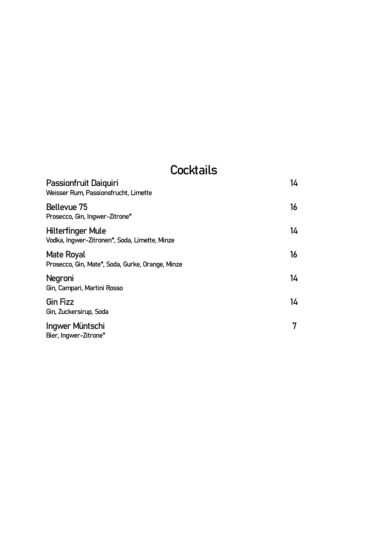### **Cocktails**

| Passionfruit Daiguiri<br>Weisser Rum, Passionsfrucht, Limette             | 14 |
|---------------------------------------------------------------------------|----|
| Bellevue 75<br>Prosecco, Gin, Ingwer-Zitrone*                             | 16 |
| <b>Hilterfinger Mule</b><br>Vodka, Ingwer-Zitronen*, Soda, Limette, Minze | 14 |
| Mate Royal<br>Prosecco, Gin, Mate*, Soda, Gurke, Orange, Minze            | 16 |
| Negroni<br>Gin, Campari, Martini Rosso                                    | 14 |
| <b>Gin Fizz</b><br>Gin, Zuckersirup, Soda                                 | 14 |
| Ingwer Müntschi<br>Bier, Ingwer-Zitrone*                                  | 7  |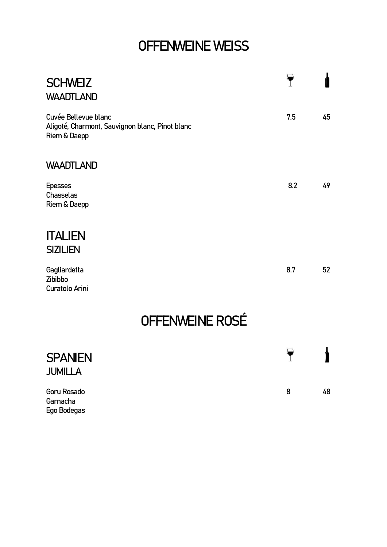# OFFENWEINE WEISS

| <b>SCHWEIZ</b><br><b>WAADTLAND</b>                                                      |     |    |
|-----------------------------------------------------------------------------------------|-----|----|
| Cuvée Bellevue blanc<br>Aligoté, Charmont, Sauvignon blanc, Pinot blanc<br>Riem & Daepp | 7.5 | 45 |
| <b>WAADTLAND</b>                                                                        |     |    |
| <b>Epesses</b><br>Chasselas<br>Riem & Daepp                                             | 8.2 | 49 |
| <b>ITALIEN</b><br><b>SIZILIEN</b>                                                       |     |    |
| Gagliardetta<br>Zibibbo<br>Curatolo Arini                                               | 8.7 | 52 |
| OFFENWEINE ROSÉ                                                                         |     |    |
| <b>SPANIEN</b><br><b>JUMILLA</b>                                                        |     |    |

| Goru Rosado | 8 | 48 |
|-------------|---|----|
| Garnacha    |   |    |
| Ego Bodegas |   |    |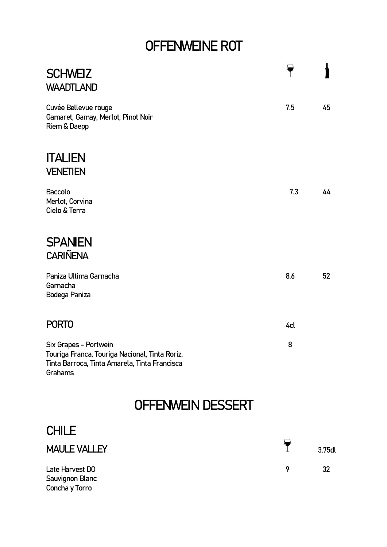# OFFENWEINE ROT

| <b>SCHWEIZ</b><br><b>WAADTLAND</b>                                                                                                  |     |        |
|-------------------------------------------------------------------------------------------------------------------------------------|-----|--------|
| Cuvée Bellevue rouge<br>Gamaret, Gamay, Merlot, Pinot Noir<br>Riem & Daepp                                                          | 7.5 | 45     |
| <b>ITALIEN</b><br><b>VENETIEN</b>                                                                                                   |     |        |
| Baccolo<br>Merlot, Corvina<br>Cielo & Terra                                                                                         | 7.3 | 44     |
| <b>SPANIEN</b><br><b>CARIÑENA</b>                                                                                                   |     |        |
| Paniza Ultima Garnacha<br>Garnacha<br>Bodega Paniza                                                                                 | 8.6 | 52     |
| <b>PORTO</b>                                                                                                                        | 4cl |        |
| Six Grapes - Portwein<br>Touriga Franca, Touriga Nacional, Tinta Roriz,<br>Tinta Barroca, Tinta Amarela, Tinta Francisca<br>Grahams | 8   |        |
| OFFENWEIN DESSERT                                                                                                                   |     |        |
| <b>CHILE</b>                                                                                                                        |     |        |
| <b>MAULE VALLEY</b>                                                                                                                 | T   | 3.75dl |
| Late Harvest DO<br>Sauvignon Blanc                                                                                                  | 9   | 32     |

Concha y Torro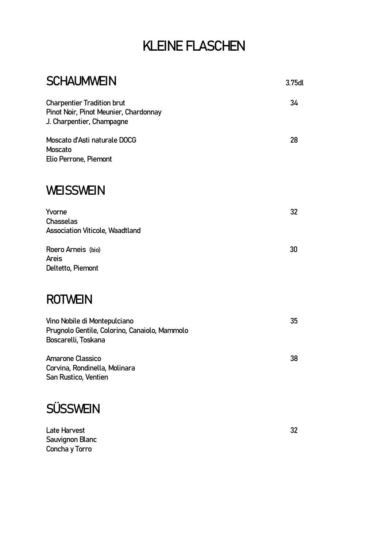### KLEINE FLASCHEN

| <b>SCHAUMWEIN</b>                                                                                       | 3.75dl |
|---------------------------------------------------------------------------------------------------------|--------|
| <b>Charpentier Tradition brut</b><br>Pinot Noir, Pinot Meunier, Chardonnay<br>J. Charpentier, Champagne | 34     |
| Moscato d'Asti naturale DOCG<br>Moscato<br>Elio Perrone, Piemont                                        | 28     |
| <b>WEISSWEIN</b>                                                                                        |        |
| Yvorne<br>Chasselas<br><b>Association Viticole, Waadtland</b>                                           | 32     |
| Roero Arneis (bio)<br>Areis<br>Deltetto, Piemont                                                        | 30     |
| <b>ROTWEIN</b>                                                                                          |        |
| Vino Nobile di Montepulciano<br>Prugnolo Gentile, Colorino, Canaiolo, Mammolo<br>Boscarelli, Toskana    | 35     |
| <b>Amarone Classico</b><br>Corvina, Rondinella, Molinara<br>San Rustico, Ventien                        | 38     |
| <b>SÜSSWEIN</b>                                                                                         |        |

#### Late Harvest 32 Sauvignon Blanc Concha y Torro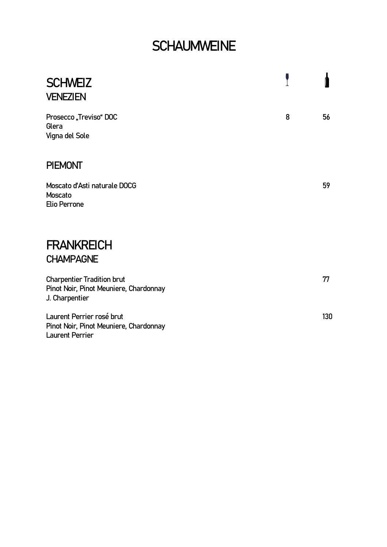### **SCHAUMWEINE**

| <b>SCHWEIZ</b><br><b>VENEZIEN</b>                                                             |   |     |
|-----------------------------------------------------------------------------------------------|---|-----|
| Prosecco "Treviso" DOC<br>Glera<br>Vigna del Sole                                             | 8 | 56  |
| <b>PIEMONT</b>                                                                                |   |     |
| Moscato d'Asti naturale DOCG<br>Moscato<br>Elio Perrone                                       |   | 59  |
| <b>FRANKREICH</b>                                                                             |   |     |
| <b>CHAMPAGNE</b>                                                                              |   |     |
| <b>Charpentier Tradition brut</b><br>Pinot Noir, Pinot Meuniere, Chardonnay<br>J. Charpentier |   | 77  |
| Laurent Perrier rosé brut<br>Pinot Noir, Pinot Meuniere, Chardonnay<br><b>Laurent Perrier</b> |   | 130 |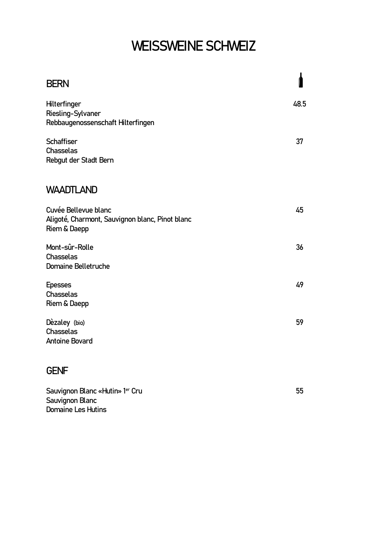# WEISSWEINE SCHWEIZ

| <b>BERN</b>                                                                             | ſ    |
|-----------------------------------------------------------------------------------------|------|
| Hilterfinger<br>Riesling-Sylvaner<br>Rebbaugenossenschaft Hilterfingen                  | 48.5 |
| <b>Schaffiser</b><br>Chasselas<br>Rebgut der Stadt Bern                                 | 37   |
| <b>WAADTLAND</b>                                                                        |      |
| Cuvée Bellevue blanc<br>Aligoté, Charmont, Sauvignon blanc, Pinot blanc<br>Riem & Daepp | 45   |
| Mont-sûr-Rolle<br>Chasselas<br><b>Domaine Belletruche</b>                               | 36   |
| <b>Epesses</b><br>Chasselas<br>Riem & Daepp                                             | 49   |
| Dèzaley (bio)<br>Chasselas<br><b>Antoine Bovard</b>                                     | 59   |
| <b>GENF</b>                                                                             |      |
| Sauvignon Blanc «Hutin» 1er Cru                                                         | 55   |

Sauvignon Blanc Domaine Les Hutins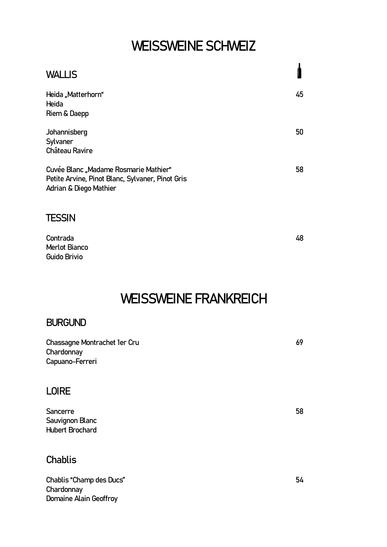### WEISSWEINE SCHWEIZ

| <b>WALLIS</b>                                                                                                       |    |
|---------------------------------------------------------------------------------------------------------------------|----|
| Heida "Matterhorn"<br>Heida<br>Riem & Daepp                                                                         | 45 |
| Johannisberg<br>Sylvaner<br><b>Château Ravire</b>                                                                   | 50 |
| Cuvée Blanc "Madame Rosmarie Mathier"<br>Petite Arvine, Pinot Blanc, Sylvaner, Pinot Gris<br>Adrian & Diego Mathier | 58 |
| <b>TESSIN</b>                                                                                                       |    |
| Contrada                                                                                                            | 48 |

### WEISSWEINE FRANKREICH

### BURGUND

Merlot Bianco Guido Brivio

| Chassagne Montrachet 1er Cru<br>Chardonnay            | 69 |
|-------------------------------------------------------|----|
| Capuano-Ferreri                                       |    |
| <b>LOIRE</b>                                          |    |
| Sancerre<br>Sauvignon Blanc<br><b>Hubert Brochard</b> | 58 |
| <b>Chablis</b>                                        |    |

Chablis "Champ des Ducs" et al. 2014 et al. 2014 et al. 2014 et al. 2014 et al. 2014 et al. 2014 et al. 2014 e **Chardonnay** Domaine Alain Geoffroy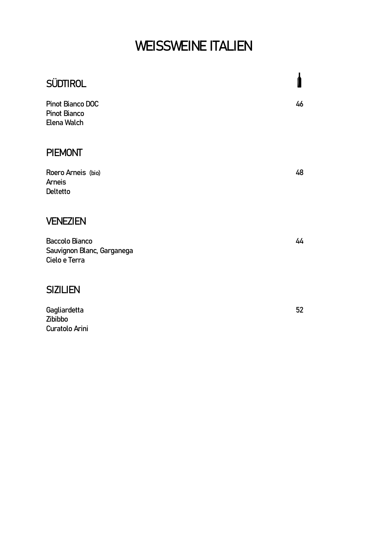# WEISSWEINE ITALIEN

| <b>SÜDTIROL</b>                                               |    |
|---------------------------------------------------------------|----|
| Pinot Bianco DOC<br><b>Pinot Bianco</b><br>Elena Walch        | 46 |
| <b>PIEMONT</b>                                                |    |
| Roero Arneis (bio)<br><b>Arneis</b><br><b>Deltetto</b>        | 48 |
| <b>VENEZIEN</b>                                               |    |
| Baccolo Bianco<br>Sauvignon Blanc, Garganega<br>Cielo e Terra | 44 |
| <b>SIZILIEN</b>                                               |    |
| Gagliardetta<br>Zibibbo<br>Curatolo Arini                     | 52 |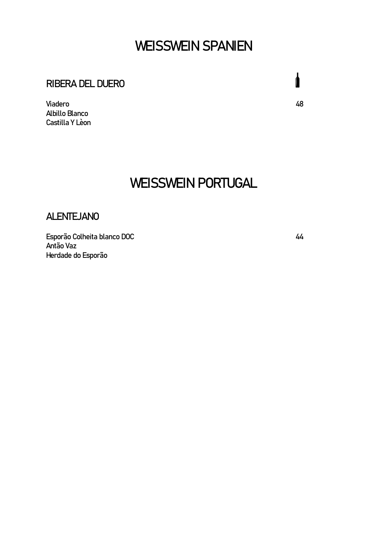### WEISSWEIN SPANIEN

### RIBERA DEL DUERO

Viadero 48 Albillo Blanco Castilla Y Lèon

### WEISSWEIN PORTUGAL

#### ALENTEJANO

Esporão Colheita blanco DOC 44 Antão Vaz Herdade do Esporão

 $\mathbf{I}$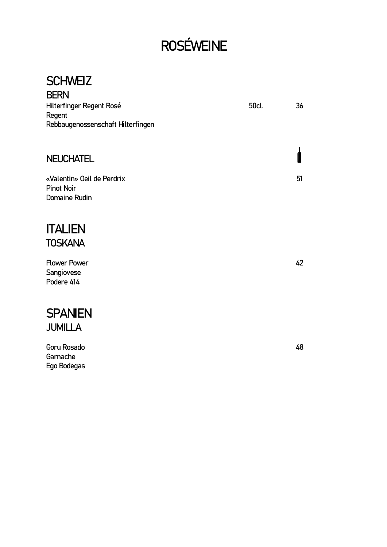# ROSÉWEINE

#### **SCHWEIZ BEDN**

| DENN                              |       |    |
|-----------------------------------|-------|----|
| Hilterfinger Regent Rosé          | 50cl. | 36 |
| Regent                            |       |    |
| Rebbaugenossenschaft Hilterfingen |       |    |
|                                   |       |    |
|                                   |       |    |
| <b>NEUCHATEL</b>                  |       |    |
|                                   |       |    |
| «Valentin» Oeil de Perdrix        |       | 51 |
| <b>Pinot Noir</b>                 |       |    |
|                                   |       |    |
| Domaine Rudin                     |       |    |
|                                   |       |    |

### **ITALIEN TOSKANA**

Flower Power 42 Sangiovese Podere 414

### **SPANIEN** JUMILLA

Goru Rosado 48 Garnache Ego Bodegas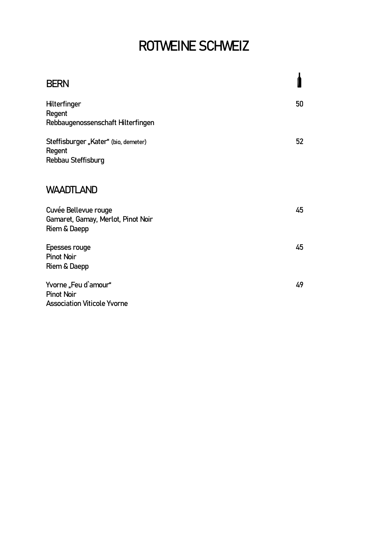# ROTWEINE SCHWEIZ

| <b>BERN</b>                                                                     |    |
|---------------------------------------------------------------------------------|----|
| Hilterfinger<br>Regent<br>Rebbaugenossenschaft Hilterfingen                     | 50 |
| Steffisburger "Kater" (bio, demeter)<br>Regent<br>Rebbau Steffisburg            | 52 |
| <b>WAADTLAND</b>                                                                |    |
| Cuvée Bellevue rouge<br>Gamaret, Gamay, Merlot, Pinot Noir<br>Riem & Daepp      | 45 |
| Epesses rouge<br><b>Pinot Noir</b><br>Riem & Daepp                              | 45 |
| Yvorne "Feu d'amour"<br><b>Pinot Noir</b><br><b>Association Viticole Yvorne</b> | 49 |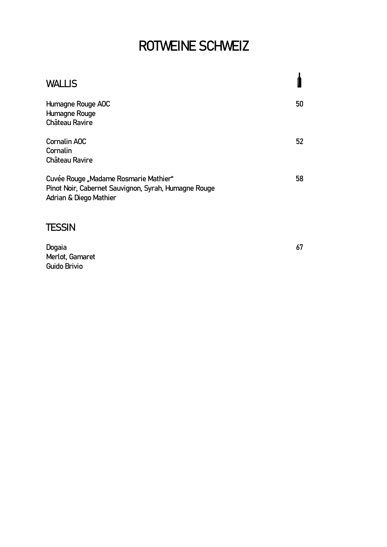# ROTWEINE SCHWEIZ

| <b>WALLIS</b>                                                                                                           |    |
|-------------------------------------------------------------------------------------------------------------------------|----|
| Humagne Rouge AOC<br>Humagne Rouge<br>Château Ravire                                                                    | 50 |
| <b>Cornalin AOC</b><br>Cornalin<br>Château Ravire                                                                       | 52 |
| Cuvée Rouge "Madame Rosmarie Mathier"<br>Pinot Noir, Cabernet Sauvignon, Syrah, Humagne Rouge<br>Adrian & Diego Mathier | 58 |

### **TESSIN**

| Dogaia          | 67 |
|-----------------|----|
| Merlot, Gamaret |    |
| Guido Brivio    |    |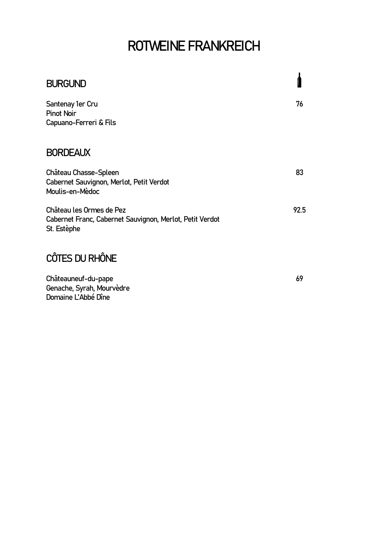# ROTWEINE FRANKREICH

| <b>BURGUND</b>                                                                                      |      |
|-----------------------------------------------------------------------------------------------------|------|
| Santenay 1er Cru<br><b>Pinot Noir</b><br>Capuano-Ferreri & Fils                                     | 76   |
| <b>BORDEAUX</b>                                                                                     |      |
| Château Chasse-Spleen<br>Cabernet Sauvignon, Merlot, Petit Verdot<br>Moulis-en-Mèdoc                | 83   |
| Château les Ormes de Pez<br>Cabernet Franc, Cabernet Sauvignon, Merlot, Petit Verdot<br>St. Estèphe | 92.5 |
| TES DU RHÔNE                                                                                        |      |

Châteauneuf-du-pape 69 Genache, Syrah, Mourvèdre Domaine L'Abbé Dîne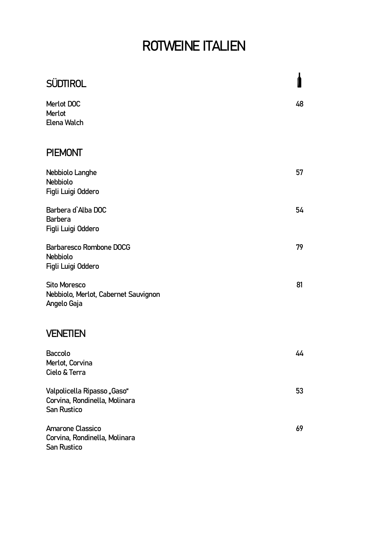# ROTWEINE ITALIEN

| <b>SÜDTIROL</b>                                                             |    |
|-----------------------------------------------------------------------------|----|
| Merlot DOC<br>Merlot<br>Elena Walch                                         | 48 |
| <b>PIEMONT</b>                                                              |    |
| Nebbiolo Langhe<br><b>Nebbiolo</b><br>Figli Luigi Oddero                    | 57 |
| Barbera d'Alba DOC<br><b>Barbera</b><br>Figli Luigi Oddero                  | 54 |
| Barbaresco Rombone DOCG<br>Nebbiolo<br>Figli Luigi Oddero                   | 79 |
| <b>Sito Moresco</b><br>Nebbiolo, Merlot, Cabernet Sauvignon<br>Angelo Gaja  | 81 |
| <b>VENETIEN</b>                                                             |    |
| <b>Baccolo</b><br>Merlot, Corvina<br>Cielo & Terra                          | 44 |
| Valpolicella Ripasso "Gaso"<br>Corvina, Rondinella, Molinara<br>San Rustico | 53 |
| <b>Amarone Classico</b><br>Corvina, Rondinella, Molinara<br>San Rustico     | 69 |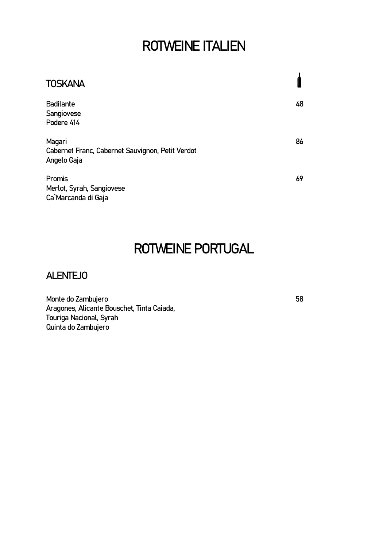### ROTWEINE ITALIEN

| <b>TOSKANA</b>                                                            |    |
|---------------------------------------------------------------------------|----|
| <b>Badilante</b><br>Sangiovese<br>Podere 414                              | 48 |
| Magari<br>Cabernet Franc, Cabernet Sauvignon, Petit Verdot<br>Angelo Gaja | 86 |
| Promis<br>Merlot, Syrah, Sangiovese<br>Ca`Marcanda di Gaja                | 69 |

### ROTWEINE PORTUGAL

### ALENTEJO

Monte do Zambujero 58 Aragones, Alicante Bouschet, Tinta Caiada, Touriga Nacional, Syrah Quinta do Zambujero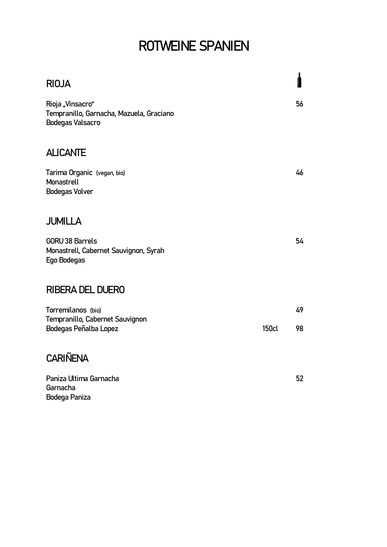# ROTWEINE SPANIEN

| <b>RIOJA</b>                                                                            |              |    |
|-----------------------------------------------------------------------------------------|--------------|----|
| Rioja "Vinsacro"<br>Tempranillo, Garnacha, Mazuela, Graciano<br><b>Bodegas Valsacro</b> |              | 56 |
| <b>ALICANTE</b>                                                                         |              |    |
| Tarima Organic (vegan, bio)<br>Monastrell<br><b>Bodegas Volver</b>                      |              | 46 |
| <b>JUMILLA</b>                                                                          |              |    |
| <b>GORU 38 Barrels</b><br>Monastrell, Cabernet Sauvignon, Syrah<br>Ego Bodegas          |              | 54 |
| <b>RIBERA DEL DUERO</b>                                                                 |              |    |
| Torremilanos (bio)<br>Tempranillo, Cabernet Sauvignon                                   |              | 49 |
| Bodegas Peñalba Lopez                                                                   | <b>150cl</b> | 98 |
| <b>CARIÑENA</b>                                                                         |              |    |
| Paniza Ultima Garnacha<br>Garnacha                                                      |              | 52 |
| Bodega Paniza                                                                           |              |    |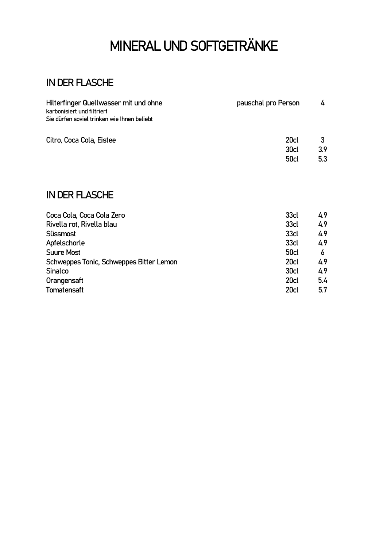# MINERAL UND SOFTGETRÄNKE

### IN DER FLASCHE

| Hilterfinger Quellwasser mit und ohne<br>karbonisiert und filtriert | pauschal pro Person | 4   |
|---------------------------------------------------------------------|---------------------|-----|
| Sie dürfen soviel trinken wie Ihnen beliebt                         |                     |     |
| Citro, Coca Cola, Eistee                                            | 20cl                |     |
|                                                                     | 30cl                | 3.9 |
|                                                                     | <b>50cl</b>         | 5.3 |

### IN DER FLASCHE

| 33cl             | 4.9 |
|------------------|-----|
| 33cl             | 4.9 |
| 33cl             | 4.9 |
| 33cl             | 4.9 |
| <b>50cl</b>      | 6   |
| 20 <sub>cl</sub> | 4.9 |
| 30 <sub>cl</sub> | 4.9 |
| 20 <sub>cl</sub> | 5.4 |
| 20 <sub>cl</sub> | 5.7 |
|                  |     |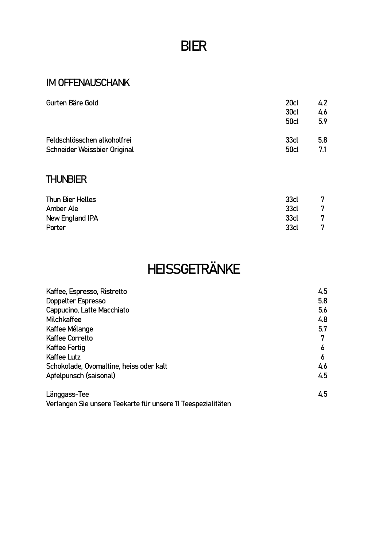### BIER

### IM OFFENAUSCHANK

| 20cl                | 4.2<br>4.6       |
|---------------------|------------------|
| <b>50cl</b>         | 5.9              |
| 33cl<br><b>50cl</b> | 5.8<br>7.1       |
|                     | 30 <sub>cl</sub> |

### **THUNBIER**

| Thun Bier Helles | 33cl | 7 |
|------------------|------|---|
| Amber Ale        | 33cl | 7 |
| New England IPA  | 33cl |   |
| Porter           | 33cl | 7 |

# HEISSGETRÄNKE

| Kaffee, Espresso, Ristretto             | 4.5 |
|-----------------------------------------|-----|
| Doppelter Espresso                      | 5.8 |
| Cappucino, Latte Macchiato              | 5.6 |
| Milchkaffee                             | 4.8 |
| Kaffee Mélange                          | 5.7 |
| Kaffee Corretto                         | 7   |
| Kaffee Fertig                           | 6   |
| Kaffee Lutz                             | 6   |
| Schokolade, Ovomaltine, heiss oder kalt | 4.6 |
| Apfelpunsch (saisonal)                  | 4.5 |
| Länggass-Tee                            | 4.5 |

Verlangen Sie unsere Teekarte für unsere 11 Teespezialitäten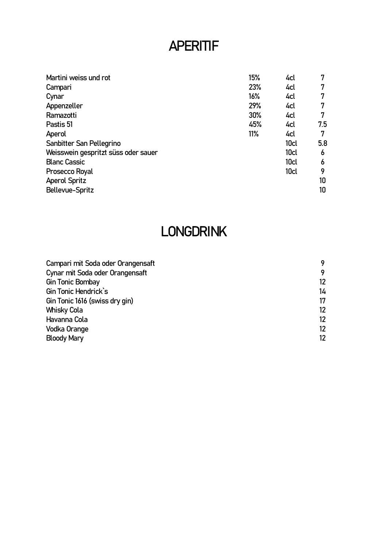### APERITIF

|                                               | 7                                                                             |
|-----------------------------------------------|-------------------------------------------------------------------------------|
|                                               | 7                                                                             |
|                                               | 7                                                                             |
|                                               | 7                                                                             |
|                                               | 7                                                                             |
|                                               | 7.5                                                                           |
|                                               | 7                                                                             |
|                                               | 5.8                                                                           |
|                                               | 6                                                                             |
|                                               | 6                                                                             |
|                                               | 9                                                                             |
|                                               | 10                                                                            |
|                                               | 10                                                                            |
| 15%<br>23%<br>16%<br>29%<br>30%<br>45%<br>11% | 4cl<br>4cl<br>4cl<br>4cl<br>4cl<br>4cl<br>4cl<br>10cl<br>10cl<br>10cl<br>10cl |

### LONGDRINK

| 9  |
|----|
| 12 |
| 14 |
| 17 |
| 12 |
| 12 |
| 12 |
| 12 |
|    |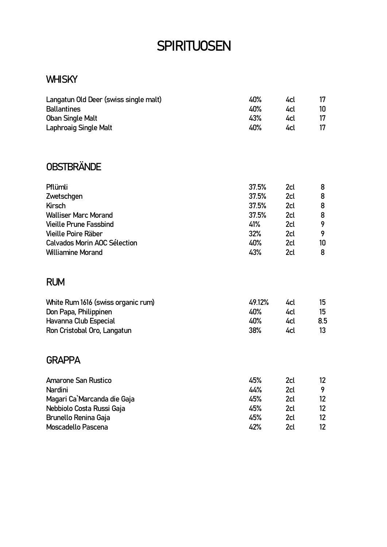### **SPIRITUOSEN**

### **WHISKY**

| Langatun Old Deer (swiss single malt) | 40%    | 4cl | 17              |
|---------------------------------------|--------|-----|-----------------|
| <b>Ballantines</b>                    | 40%    | 4cl | 10              |
| <b>Oban Single Malt</b>               | 43%    | 4cl | 17              |
| <b>Laphroaig Single Malt</b>          | 40%    | 4cl | 17              |
| <b>OBSTBRÄNDE</b>                     |        |     |                 |
| Pflümli                               | 37.5%  | 2cl | 8               |
| Zwetschgen                            | 37.5%  | 2cl | 8               |
| Kirsch                                | 37.5%  | 2cl | 8               |
| <b>Walliser Marc Morand</b>           | 37.5%  | 2cl | 8               |
| <b>Vieille Prune Fassbind</b>         | 41%    | 2cl | 9               |
| Vieille Poire Räber                   | 32%    | 2cl | 9               |
| Calvados Morin AOC Sélection          | 40%    | 2cl | 10              |
| <b>Williamine Morand</b>              | 43%    | 2cl | 8               |
| <b>RUM</b>                            |        |     |                 |
| White Rum 1616 (swiss organic rum)    | 49.12% | 4cl | 15              |
| Don Papa, Philippinen                 | 40%    | 4cl | 15              |
| Havanna Club Especial                 | 40%    | 4cl | 8.5             |
| Ron Cristobal Oro, Langatun           | 38%    | 4cl | 13 <sup>°</sup> |
| <b>GRAPPA</b>                         |        |     |                 |
| <b>Amarone San Rustico</b>            | 45%    | 2cl | 12 <sup>°</sup> |
| Nardini                               | 44%    | 2cl | 9               |
| Magari Ca`Marcanda die Gaja           | 45%    | 2cl | 12              |
| Nebbiolo Costa Russi Gaja             | 45%    | 2cl | $12 \,$         |
| <b>Brunello Renina Gaja</b>           | 45%    | 2cl | 12 <sup>°</sup> |
| Moscadello Pascena                    | 42%    | 2cl | 12 <sup>2</sup> |